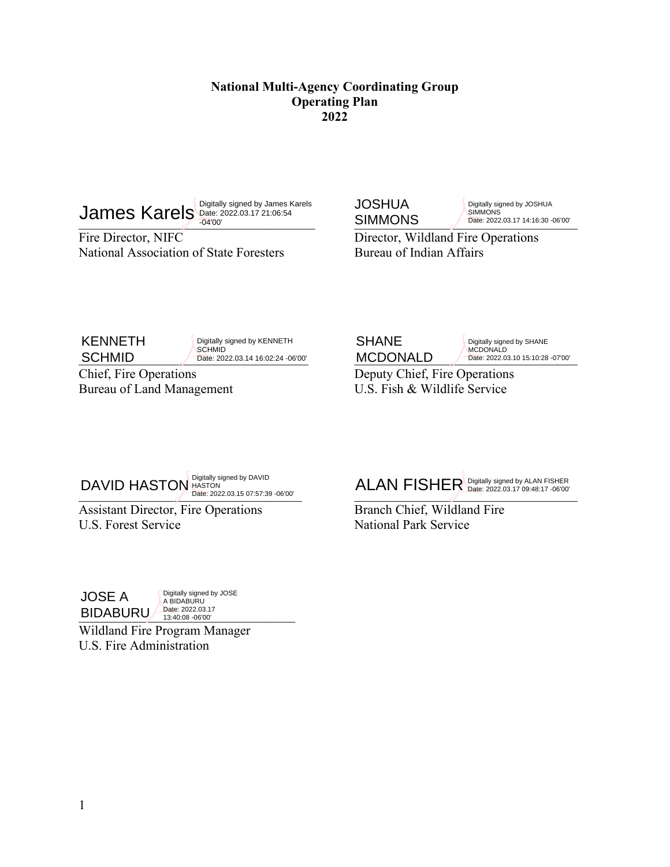#### **National Multi-Agency Coordinating Group Operating Plan 2022**

 $\bm{James~Kare}$   $\sum_{-04'00'}^{\text{Digitally signed by James Karels}} \sum_{-04'00'}^{\text{Digitally signed by JOSHUA}}$ 

Fire Director, NIFC Director, Wildland Fire Operations -04'00'

**JOSHUA** SIMMONS

Digitally signed by JOSHUA SIMMONS Date: 2022.03.17 14:16:30 -06'00'

National Association of State Foresters Bureau of Indian Affairs

KENNETH **SCHMID** 

SCHMID Date: 2022.03.14 16:02:24 -06'00' MCDONALD Date: 2022.03.10 15:10:28 -07'00' Digitally signed by KENNETH **SCHMID** 

Bureau of Land Management U.S. Fish & Wildlife Service

SHANE MCDONALD

Digitally signed by SHANE **MCDONALD** Date: 2022.03.10 15:10:28 -07'00'

Chief, Fire Operations Deputy Chief, Fire Operations

DAVID HASTON HASTON DAVID<br>Date: 2022.03.15 07:57:39 -06'00' ALAN FISHER Date: 2022.03.17 09:48:17 -06'00' Date: 2022.03.15 07:57:39 -06'00'

Assistant Director, Fire Operations Branch Chief, Wildland Fire U.S. Forest Service National Park Service

ALAN FISHER Digitally signed by ALAN FISHER Date: 2022.03.17 09:48:17 -06'00'

JOSE A

BIDABURU *Pate: 2022.03.17* 13:40:08 -06'00' Digitally signed by JOSE A BIDABURU

Wildland Fire Program Manager U.S. Fire Administration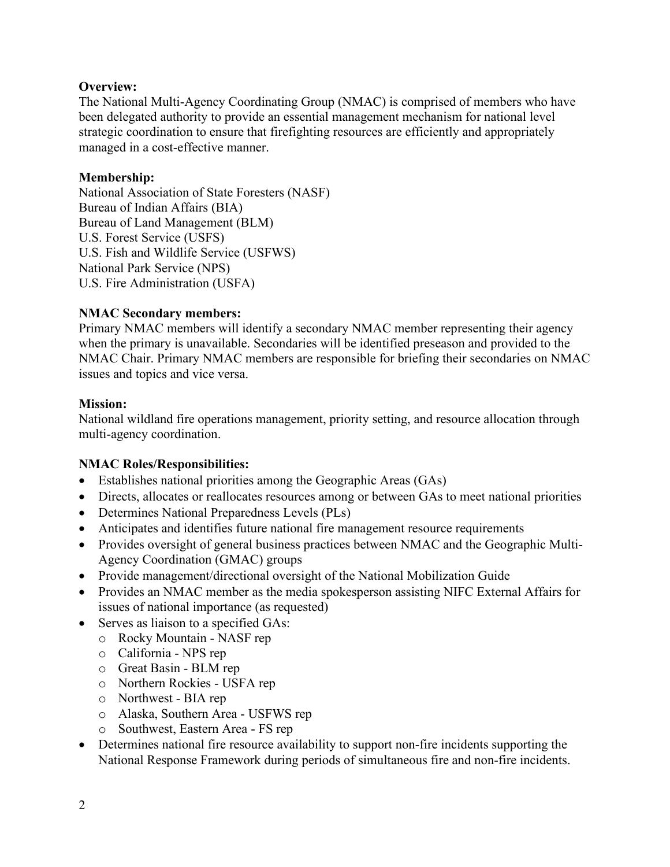### **Overview:**

The National Multi-Agency Coordinating Group (NMAC) is comprised of members who have been delegated authority to provide an essential management mechanism for national level strategic coordination to ensure that firefighting resources are efficiently and appropriately managed in a cost-effective manner.

### **Membership:**

National Association of State Foresters (NASF) Bureau of Indian Affairs (BIA) Bureau of Land Management (BLM) U.S. Forest Service (USFS) U.S. Fish and Wildlife Service (USFWS) National Park Service (NPS) U.S. Fire Administration (USFA)

### **NMAC Secondary members:**

Primary NMAC members will identify a secondary NMAC member representing their agency when the primary is unavailable. Secondaries will be identified preseason and provided to the NMAC Chair. Primary NMAC members are responsible for briefing their secondaries on NMAC issues and topics and vice versa.

### **Mission:**

National wildland fire operations management, priority setting, and resource allocation through multi-agency coordination.

## **NMAC Roles/Responsibilities:**

- Establishes national priorities among the Geographic Areas (GAs)
- Directs, allocates or reallocates resources among or between GAs to meet national priorities
- Determines National Preparedness Levels (PLs)
- Anticipates and identifies future national fire management resource requirements
- Provides oversight of general business practices between NMAC and the Geographic Multi-Agency Coordination (GMAC) groups
- Provide management/directional oversight of the National Mobilization Guide
- Provides an NMAC member as the media spokesperson assisting NIFC External Affairs for issues of national importance (as requested)
- Serves as liaison to a specified GAs:
	- o Rocky Mountain NASF rep
	- o California NPS rep
	- o Great Basin BLM rep
	- o Northern Rockies USFA rep
	- o Northwest BIA rep
	- o Alaska, Southern Area USFWS rep
	- o Southwest, Eastern Area FS rep
- Determines national fire resource availability to support non-fire incidents supporting the National Response Framework during periods of simultaneous fire and non-fire incidents.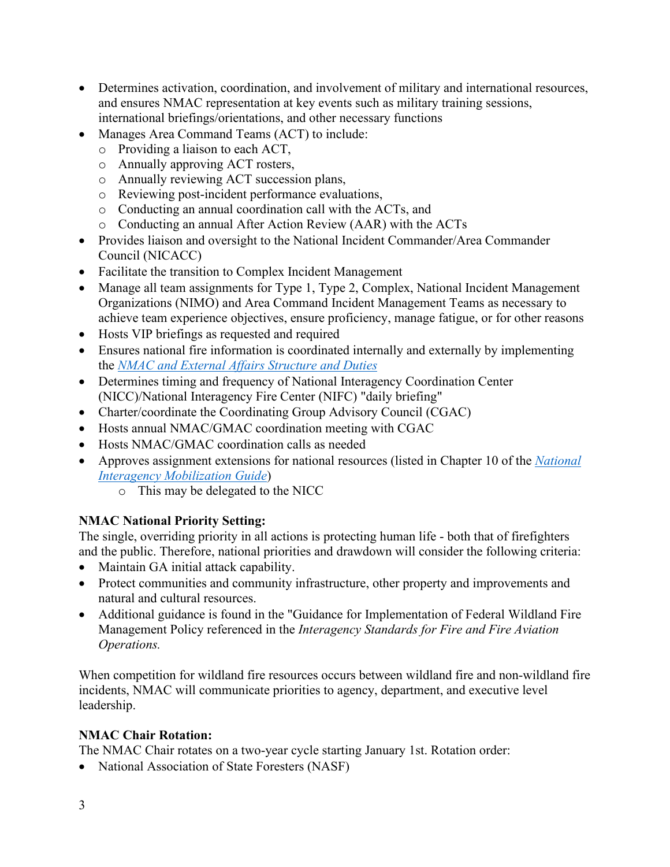- Determines activation, coordination, and involvement of military and international resources, and ensures NMAC representation at key events such as military training sessions, international briefings/orientations, and other necessary functions
- Manages Area Command Teams (ACT) to include:
	- o Providing a liaison to each ACT,
	- o Annually approving ACT rosters,
	- o Annually reviewing ACT succession plans,
	- o Reviewing post-incident performance evaluations,
	- o Conducting an annual coordination call with the ACTs, and
	- o Conducting an annual After Action Review (AAR) with the ACTs
- Provides liaison and oversight to the National Incident Commander/Area Commander Council (NICACC)
- Facilitate the transition to Complex Incident Management
- Manage all team assignments for Type 1, Type 2, Complex, National Incident Management Organizations (NIMO) and Area Command Incident Management Teams as necessary to achieve team experience objectives, ensure proficiency, manage fatigue, or for other reasons
- Hosts VIP briefings as requested and required
- Ensures national fire information is coordinated internally and externally by implementing the *[NMAC and External Affairs Structure and Duties](https://www.nifc.gov/nicc/administrative/nmac/NMAC_EA_StructureDuties.doc)*
- Determines timing and frequency of National Interagency Coordination Center (NICC)/National Interagency Fire Center (NIFC) "daily briefing"
- Charter/coordinate the Coordinating Group Advisory Council (CGAC)
- Hosts annual NMAC/GMAC coordination meeting with CGAC
- Hosts NMAC/GMAC coordination calls as needed
- Approves assignment extensions for national resources (listed in Chapter 10 of the *[National](https://www.nifc.gov/nicc/mobguide/Chapter%2010.pdf)  [Interagency Mobilization Guide](https://www.nifc.gov/nicc/mobguide/Chapter%2010.pdf)*)
	- o This may be delegated to the NICC

# **NMAC National Priority Setting:**

The single, overriding priority in all actions is protecting human life - both that of firefighters and the public. Therefore, national priorities and drawdown will consider the following criteria:

- Maintain GA initial attack capability.
- Protect communities and community infrastructure, other property and improvements and natural and cultural resources.
- Additional guidance is found in the "Guidance for Implementation of Federal Wildland Fire Management Policy referenced in the *Interagency Standards for Fire and Fire Aviation Operations.*

When competition for wildland fire resources occurs between wildland fire and non-wildland fire incidents, NMAC will communicate priorities to agency, department, and executive level leadership.

## **NMAC Chair Rotation:**

The NMAC Chair rotates on a two-year cycle starting January 1st. Rotation order:

• National Association of State Foresters (NASF)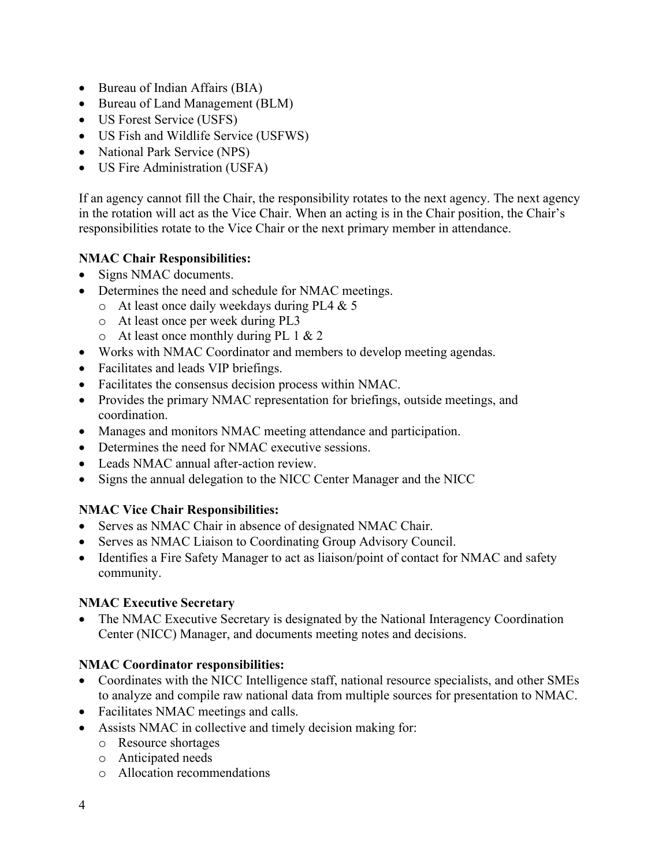- Bureau of Indian Affairs (BIA)
- Bureau of Land Management (BLM)
- US Forest Service (USFS)
- US Fish and Wildlife Service (USFWS)
- National Park Service (NPS)
- US Fire Administration (USFA)

If an agency cannot fill the Chair, the responsibility rotates to the next agency. The next agency in the rotation will act as the Vice Chair. When an acting is in the Chair position, the Chair's responsibilities rotate to the Vice Chair or the next primary member in attendance.

# **NMAC Chair Responsibilities:**

- Signs NMAC documents.
- Determines the need and schedule for NMAC meetings.
	- o At least once daily weekdays during PL4 & 5
	- o At least once per week during PL3
	- $\circ$  At least once monthly during PL 1 & 2
- Works with NMAC Coordinator and members to develop meeting agendas.
- Facilitates and leads VIP briefings.
- Facilitates the consensus decision process within NMAC.
- Provides the primary NMAC representation for briefings, outside meetings, and coordination.
- Manages and monitors NMAC meeting attendance and participation.
- Determines the need for NMAC executive sessions.
- Leads NMAC annual after-action review.
- Signs the annual delegation to the NICC Center Manager and the NICC

# **NMAC Vice Chair Responsibilities:**

- Serves as NMAC Chair in absence of designated NMAC Chair.
- Serves as NMAC Liaison to Coordinating Group Advisory Council.
- Identifies a Fire Safety Manager to act as liaison/point of contact for NMAC and safety community.

## **NMAC Executive Secretary**

• The NMAC Executive Secretary is designated by the National Interagency Coordination Center (NICC) Manager, and documents meeting notes and decisions.

# **NMAC Coordinator responsibilities:**

- Coordinates with the NICC Intelligence staff, national resource specialists, and other SMEs to analyze and compile raw national data from multiple sources for presentation to NMAC.
- Facilitates NMAC meetings and calls.
- Assists NMAC in collective and timely decision making for:
	- o Resource shortages
	- o Anticipated needs
	- o Allocation recommendations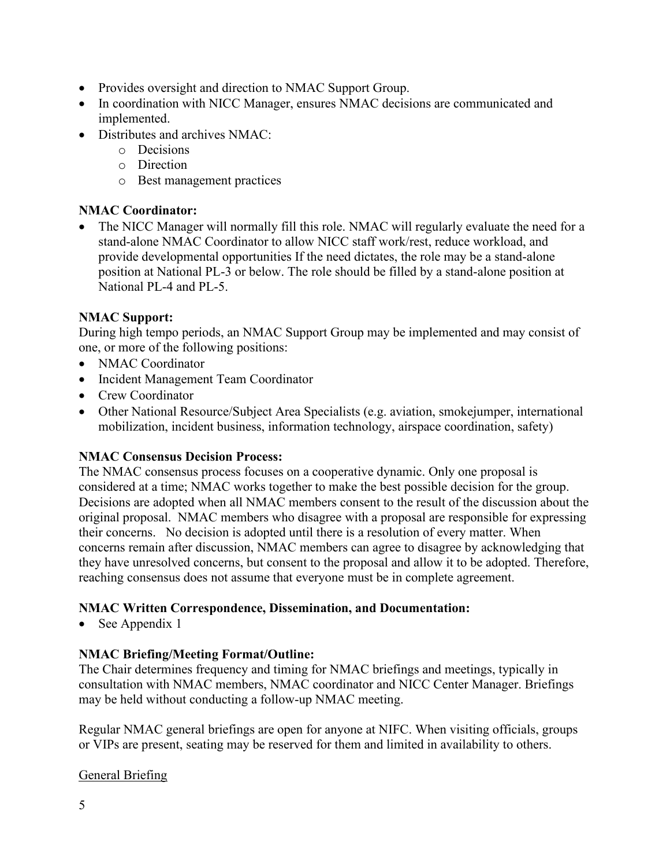- Provides oversight and direction to NMAC Support Group.
- In coordination with NICC Manager, ensures NMAC decisions are communicated and implemented.
- Distributes and archives NMAC:
	- o Decisions
	- o Direction
	- o Best management practices

# **NMAC Coordinator:**

• The NICC Manager will normally fill this role. NMAC will regularly evaluate the need for a stand-alone NMAC Coordinator to allow NICC staff work/rest, reduce workload, and provide developmental opportunities If the need dictates, the role may be a stand-alone position at National PL-3 or below. The role should be filled by a stand-alone position at National PL-4 and PL-5.

## **NMAC Support:**

During high tempo periods, an NMAC Support Group may be implemented and may consist of one, or more of the following positions:

- NMAC Coordinator
- Incident Management Team Coordinator
- Crew Coordinator
- Other National Resource/Subject Area Specialists (e.g. aviation, smokejumper, international mobilization, incident business, information technology, airspace coordination, safety)

## **NMAC Consensus Decision Process:**

The NMAC consensus process focuses on a cooperative dynamic. Only one proposal is considered at a time; NMAC works together to make the best possible decision for the group. Decisions are adopted when all NMAC members consent to the result of the discussion about the original proposal. NMAC members who disagree with a proposal are responsible for expressing their concerns. No decision is adopted until there is a resolution of every matter. When concerns remain after discussion, NMAC members can agree to disagree by acknowledging that they have unresolved concerns, but consent to the proposal and allow it to be adopted. Therefore, reaching consensus does not assume that everyone must be in complete agreement.

## **NMAC Written Correspondence, Dissemination, and Documentation:**

• See Appendix 1

# **NMAC Briefing/Meeting Format/Outline:**

The Chair determines frequency and timing for NMAC briefings and meetings, typically in consultation with NMAC members, NMAC coordinator and NICC Center Manager. Briefings may be held without conducting a follow-up NMAC meeting.

Regular NMAC general briefings are open for anyone at NIFC. When visiting officials, groups or VIPs are present, seating may be reserved for them and limited in availability to others.

## General Briefing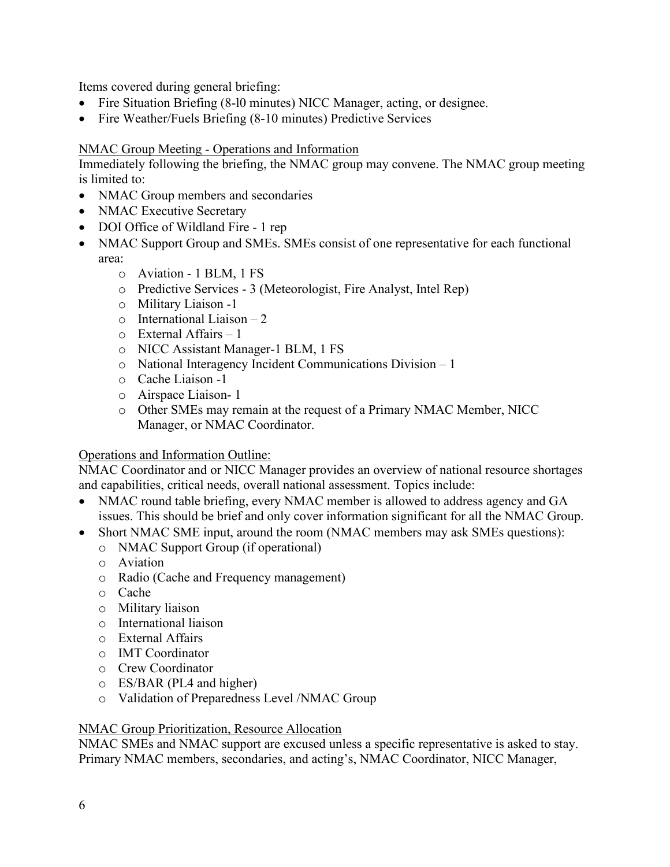Items covered during general briefing:

- Fire Situation Briefing (8-10 minutes) NICC Manager, acting, or designee.
- Fire Weather/Fuels Briefing (8-10 minutes) Predictive Services

#### NMAC Group Meeting - Operations and Information

Immediately following the briefing, the NMAC group may convene. The NMAC group meeting is limited to:

- NMAC Group members and secondaries
- NMAC Executive Secretary
- DOI Office of Wildland Fire 1 rep
- NMAC Support Group and SMEs. SMEs consist of one representative for each functional area:
	- o Aviation 1 BLM, 1 FS
	- o Predictive Services 3 (Meteorologist, Fire Analyst, Intel Rep)
	- o Military Liaison -1
	- $\circ$  International Liaison 2
	- o External Affairs 1
	- o NICC Assistant Manager-1 BLM, 1 FS
	- o National Interagency Incident Communications Division 1
	- o Cache Liaison -1
	- o Airspace Liaison- 1
	- o Other SMEs may remain at the request of a Primary NMAC Member, NICC Manager, or NMAC Coordinator.

#### Operations and Information Outline:

NMAC Coordinator and or NICC Manager provides an overview of national resource shortages and capabilities, critical needs, overall national assessment. Topics include:

- NMAC round table briefing, every NMAC member is allowed to address agency and GA issues. This should be brief and only cover information significant for all the NMAC Group.
- Short NMAC SME input, around the room (NMAC members may ask SMEs questions):
	- o NMAC Support Group (if operational)
	- o Aviation
	- o Radio (Cache and Frequency management)
	- o Cache
	- o Military liaison
	- o International liaison
	- o External Affairs
	- o IMT Coordinator
	- o Crew Coordinator
	- o ES/BAR (PL4 and higher)
	- o Validation of Preparedness Level /NMAC Group

#### NMAC Group Prioritization, Resource Allocation

NMAC SMEs and NMAC support are excused unless a specific representative is asked to stay. Primary NMAC members, secondaries, and acting's, NMAC Coordinator, NICC Manager,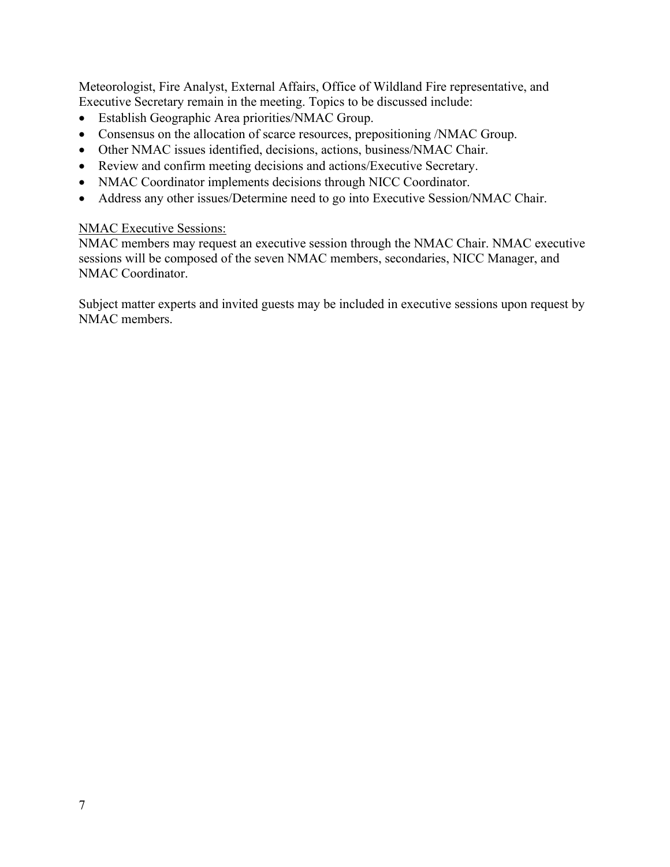Meteorologist, Fire Analyst, External Affairs, Office of Wildland Fire representative, and Executive Secretary remain in the meeting. Topics to be discussed include:

- Establish Geographic Area priorities/NMAC Group.
- Consensus on the allocation of scarce resources, prepositioning /NMAC Group.
- Other NMAC issues identified, decisions, actions, business/NMAC Chair.
- Review and confirm meeting decisions and actions/Executive Secretary.
- NMAC Coordinator implements decisions through NICC Coordinator.
- Address any other issues/Determine need to go into Executive Session/NMAC Chair.

#### NMAC Executive Sessions:

NMAC members may request an executive session through the NMAC Chair. NMAC executive sessions will be composed of the seven NMAC members, secondaries, NICC Manager, and NMAC Coordinator.

Subject matter experts and invited guests may be included in executive sessions upon request by NMAC members.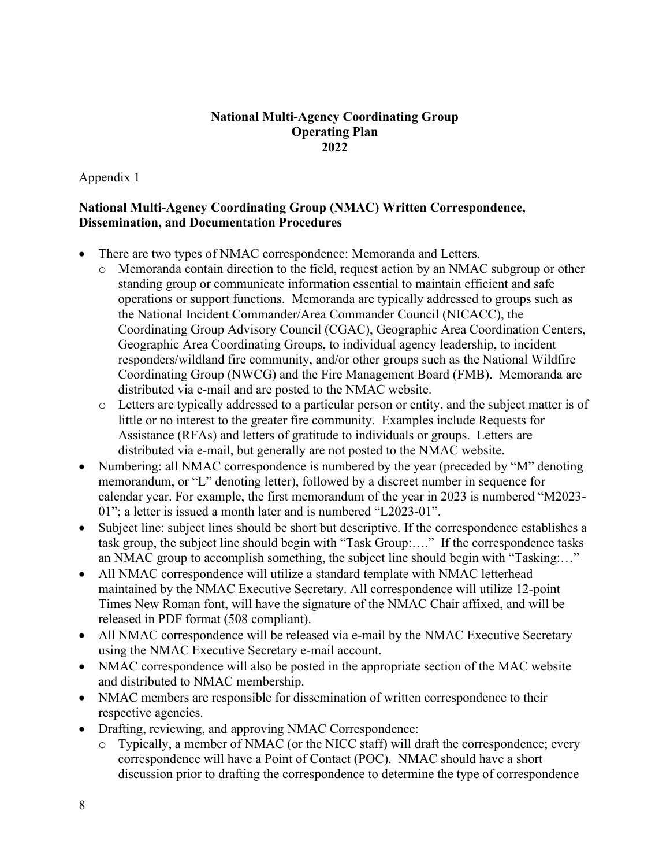### **National Multi-Agency Coordinating Group Operating Plan 2022**

# Appendix 1

### **National Multi-Agency Coordinating Group (NMAC) Written Correspondence, Dissemination, and Documentation Procedures**

- There are two types of NMAC correspondence: Memoranda and Letters.
	- o Memoranda contain direction to the field, request action by an NMAC subgroup or other standing group or communicate information essential to maintain efficient and safe operations or support functions. Memoranda are typically addressed to groups such as the National Incident Commander/Area Commander Council (NICACC), the Coordinating Group Advisory Council (CGAC), Geographic Area Coordination Centers, Geographic Area Coordinating Groups, to individual agency leadership, to incident responders/wildland fire community, and/or other groups such as the National Wildfire Coordinating Group (NWCG) and the Fire Management Board (FMB). Memoranda are distributed via e-mail and are posted to the NMAC website.
	- o Letters are typically addressed to a particular person or entity, and the subject matter is of little or no interest to the greater fire community. Examples include Requests for Assistance (RFAs) and letters of gratitude to individuals or groups. Letters are distributed via e-mail, but generally are not posted to the NMAC website.
- Numbering: all NMAC correspondence is numbered by the year (preceded by "M" denoting memorandum, or "L" denoting letter), followed by a discreet number in sequence for calendar year. For example, the first memorandum of the year in 2023 is numbered "M2023- 01"; a letter is issued a month later and is numbered "L2023-01".
- Subject line: subject lines should be short but descriptive. If the correspondence establishes a task group, the subject line should begin with "Task Group:…." If the correspondence tasks an NMAC group to accomplish something, the subject line should begin with "Tasking:…"
- All NMAC correspondence will utilize a standard template with NMAC letterhead maintained by the NMAC Executive Secretary. All correspondence will utilize 12-point Times New Roman font, will have the signature of the NMAC Chair affixed, and will be released in PDF format (508 compliant).
- All NMAC correspondence will be released via e-mail by the NMAC Executive Secretary using the NMAC Executive Secretary e-mail account.
- NMAC correspondence will also be posted in the appropriate section of the MAC website and distributed to NMAC membership.
- NMAC members are responsible for dissemination of written correspondence to their respective agencies.
- Drafting, reviewing, and approving NMAC Correspondence:
	- o Typically, a member of NMAC (or the NICC staff) will draft the correspondence; every correspondence will have a Point of Contact (POC). NMAC should have a short discussion prior to drafting the correspondence to determine the type of correspondence